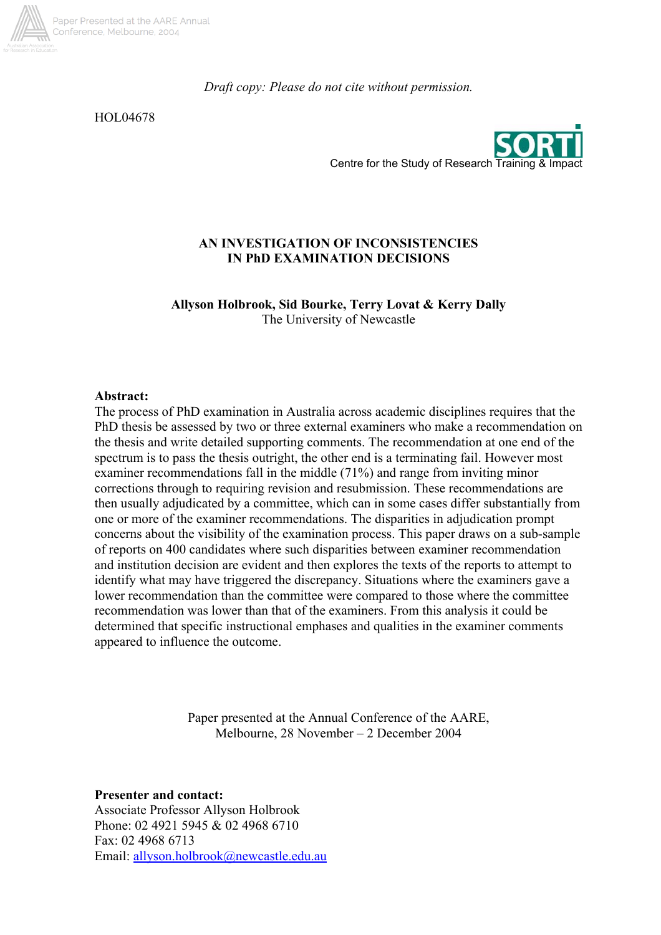

*Draft copy: Please do not cite without permission.* 

HOL04678



## **AN INVESTIGATION OF INCONSISTENCIES IN PhD EXAMINATION DECISIONS**

**Allyson Holbrook, Sid Bourke, Terry Lovat & Kerry Dally**  The University of Newcastle

#### **Abstract:**

The process of PhD examination in Australia across academic disciplines requires that the PhD thesis be assessed by two or three external examiners who make a recommendation on the thesis and write detailed supporting comments. The recommendation at one end of the spectrum is to pass the thesis outright, the other end is a terminating fail. However most examiner recommendations fall in the middle (71%) and range from inviting minor corrections through to requiring revision and resubmission. These recommendations are then usually adjudicated by a committee, which can in some cases differ substantially from one or more of the examiner recommendations. The disparities in adjudication prompt concerns about the visibility of the examination process. This paper draws on a sub-sample of reports on 400 candidates where such disparities between examiner recommendation and institution decision are evident and then explores the texts of the reports to attempt to identify what may have triggered the discrepancy. Situations where the examiners gave a lower recommendation than the committee were compared to those where the committee recommendation was lower than that of the examiners. From this analysis it could be determined that specific instructional emphases and qualities in the examiner comments appeared to influence the outcome.

> Paper presented at the Annual Conference of the AARE, Melbourne, 28 November – 2 December 2004

**Presenter and contact:** 

Associate Professor Allyson Holbrook Phone: 02 4921 5945 & 02 4968 6710 Fax: 02 4968 6713 Email: allyson.holbrook@newcastle.edu.au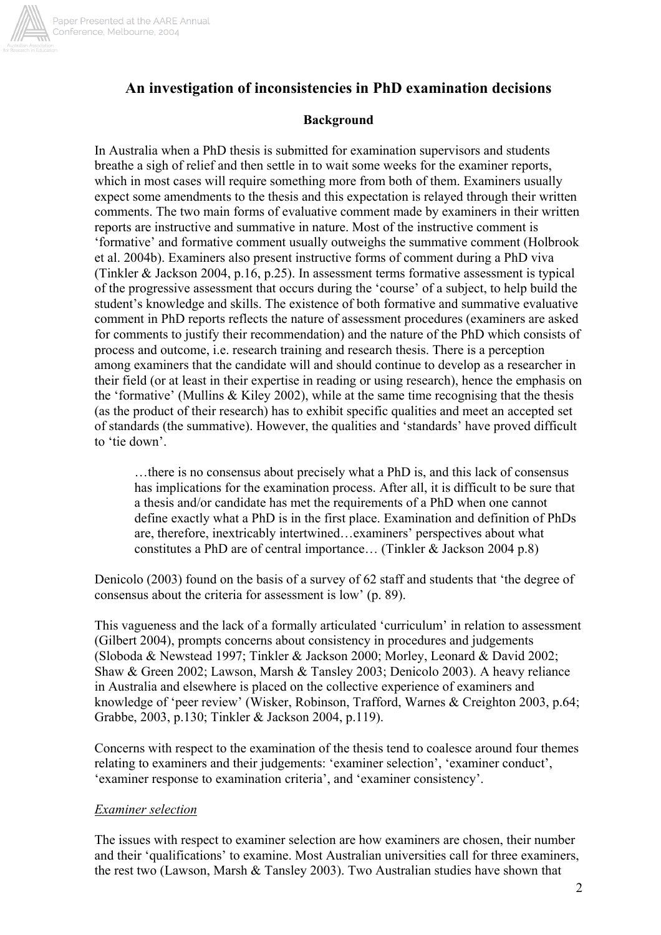

# **An investigation of inconsistencies in PhD examination decisions**

## **Background**

In Australia when a PhD thesis is submitted for examination supervisors and students breathe a sigh of relief and then settle in to wait some weeks for the examiner reports, which in most cases will require something more from both of them. Examiners usually expect some amendments to the thesis and this expectation is relayed through their written comments. The two main forms of evaluative comment made by examiners in their written reports are instructive and summative in nature. Most of the instructive comment is 'formative' and formative comment usually outweighs the summative comment (Holbrook et al. 2004b). Examiners also present instructive forms of comment during a PhD viva (Tinkler & Jackson 2004, p.16, p.25). In assessment terms formative assessment is typical of the progressive assessment that occurs during the 'course' of a subject, to help build the student's knowledge and skills. The existence of both formative and summative evaluative comment in PhD reports reflects the nature of assessment procedures (examiners are asked for comments to justify their recommendation) and the nature of the PhD which consists of process and outcome, i.e. research training and research thesis. There is a perception among examiners that the candidate will and should continue to develop as a researcher in their field (or at least in their expertise in reading or using research), hence the emphasis on the 'formative' (Mullins & Kiley 2002), while at the same time recognising that the thesis (as the product of their research) has to exhibit specific qualities and meet an accepted set of standards (the summative). However, the qualities and 'standards' have proved difficult to 'tie down'.

…there is no consensus about precisely what a PhD is, and this lack of consensus has implications for the examination process. After all, it is difficult to be sure that a thesis and/or candidate has met the requirements of a PhD when one cannot define exactly what a PhD is in the first place. Examination and definition of PhDs are, therefore, inextricably intertwined…examiners' perspectives about what constitutes a PhD are of central importance… (Tinkler & Jackson 2004 p.8)

Denicolo (2003) found on the basis of a survey of 62 staff and students that 'the degree of consensus about the criteria for assessment is low' (p. 89).

This vagueness and the lack of a formally articulated 'curriculum' in relation to assessment (Gilbert 2004), prompts concerns about consistency in procedures and judgements (Sloboda & Newstead 1997; Tinkler & Jackson 2000; Morley, Leonard & David 2002; Shaw & Green 2002; Lawson, Marsh & Tansley 2003; Denicolo 2003). A heavy reliance in Australia and elsewhere is placed on the collective experience of examiners and knowledge of 'peer review' (Wisker, Robinson, Trafford, Warnes & Creighton 2003, p.64; Grabbe, 2003, p.130; Tinkler & Jackson 2004, p.119).

Concerns with respect to the examination of the thesis tend to coalesce around four themes relating to examiners and their judgements: 'examiner selection', 'examiner conduct', 'examiner response to examination criteria', and 'examiner consistency'.

#### *Examiner selection*

The issues with respect to examiner selection are how examiners are chosen, their number and their 'qualifications' to examine. Most Australian universities call for three examiners, the rest two (Lawson, Marsh & Tansley 2003). Two Australian studies have shown that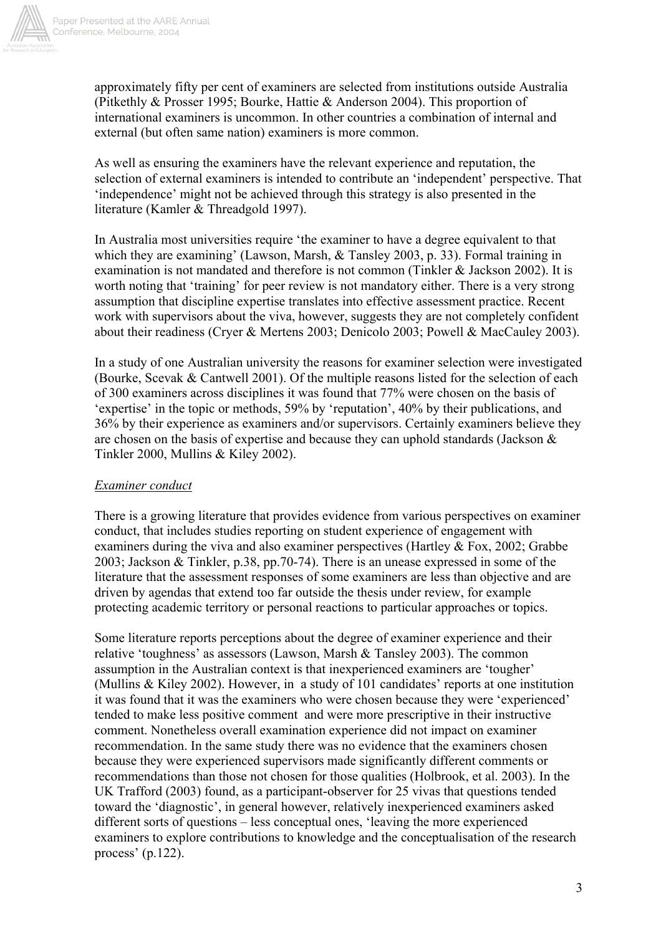

approximately fifty per cent of examiners are selected from institutions outside Australia (Pitkethly & Prosser 1995; Bourke, Hattie & Anderson 2004). This proportion of international examiners is uncommon. In other countries a combination of internal and external (but often same nation) examiners is more common.

As well as ensuring the examiners have the relevant experience and reputation, the selection of external examiners is intended to contribute an 'independent' perspective. That 'independence' might not be achieved through this strategy is also presented in the literature (Kamler & Threadgold 1997).

In Australia most universities require 'the examiner to have a degree equivalent to that which they are examining' (Lawson, Marsh, & Tansley 2003, p. 33). Formal training in examination is not mandated and therefore is not common (Tinkler & Jackson 2002). It is worth noting that 'training' for peer review is not mandatory either. There is a very strong assumption that discipline expertise translates into effective assessment practice. Recent work with supervisors about the viva, however, suggests they are not completely confident about their readiness (Cryer & Mertens 2003; Denicolo 2003; Powell & MacCauley 2003).

In a study of one Australian university the reasons for examiner selection were investigated (Bourke, Scevak & Cantwell 2001). Of the multiple reasons listed for the selection of each of 300 examiners across disciplines it was found that 77% were chosen on the basis of 'expertise' in the topic or methods, 59% by 'reputation', 40% by their publications, and 36% by their experience as examiners and/or supervisors. Certainly examiners believe they are chosen on the basis of expertise and because they can uphold standards (Jackson  $\&$ Tinkler 2000, Mullins & Kiley 2002).

## *Examiner conduct*

There is a growing literature that provides evidence from various perspectives on examiner conduct, that includes studies reporting on student experience of engagement with examiners during the viva and also examiner perspectives (Hartley & Fox, 2002; Grabbe 2003; Jackson & Tinkler, p.38, pp.70-74). There is an unease expressed in some of the literature that the assessment responses of some examiners are less than objective and are driven by agendas that extend too far outside the thesis under review, for example protecting academic territory or personal reactions to particular approaches or topics.

Some literature reports perceptions about the degree of examiner experience and their relative 'toughness' as assessors (Lawson, Marsh & Tansley 2003). The common assumption in the Australian context is that inexperienced examiners are 'tougher' (Mullins & Kiley 2002). However, in a study of 101 candidates' reports at one institution it was found that it was the examiners who were chosen because they were 'experienced' tended to make less positive comment and were more prescriptive in their instructive comment. Nonetheless overall examination experience did not impact on examiner recommendation. In the same study there was no evidence that the examiners chosen because they were experienced supervisors made significantly different comments or recommendations than those not chosen for those qualities (Holbrook, et al. 2003). In the UK Trafford (2003) found, as a participant-observer for 25 vivas that questions tended toward the 'diagnostic', in general however, relatively inexperienced examiners asked different sorts of questions – less conceptual ones, 'leaving the more experienced examiners to explore contributions to knowledge and the conceptualisation of the research process' (p.122).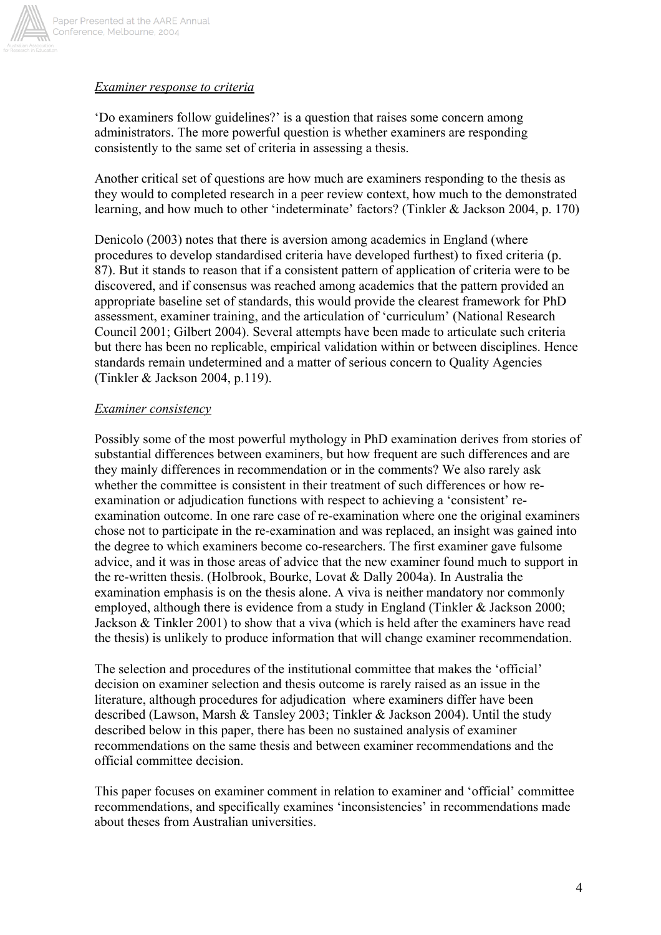

### *Examiner response to criteria*

'Do examiners follow guidelines?' is a question that raises some concern among administrators. The more powerful question is whether examiners are responding consistently to the same set of criteria in assessing a thesis.

Another critical set of questions are how much are examiners responding to the thesis as they would to completed research in a peer review context, how much to the demonstrated learning, and how much to other 'indeterminate' factors? (Tinkler & Jackson 2004, p. 170)

Denicolo (2003) notes that there is aversion among academics in England (where procedures to develop standardised criteria have developed furthest) to fixed criteria (p. 87). But it stands to reason that if a consistent pattern of application of criteria were to be discovered, and if consensus was reached among academics that the pattern provided an appropriate baseline set of standards, this would provide the clearest framework for PhD assessment, examiner training, and the articulation of 'curriculum' (National Research Council 2001; Gilbert 2004). Several attempts have been made to articulate such criteria but there has been no replicable, empirical validation within or between disciplines. Hence standards remain undetermined and a matter of serious concern to Quality Agencies (Tinkler & Jackson 2004, p.119).

### *Examiner consistency*

Possibly some of the most powerful mythology in PhD examination derives from stories of substantial differences between examiners, but how frequent are such differences and are they mainly differences in recommendation or in the comments? We also rarely ask whether the committee is consistent in their treatment of such differences or how reexamination or adjudication functions with respect to achieving a 'consistent' reexamination outcome. In one rare case of re-examination where one the original examiners chose not to participate in the re-examination and was replaced, an insight was gained into the degree to which examiners become co-researchers. The first examiner gave fulsome advice, and it was in those areas of advice that the new examiner found much to support in the re-written thesis. (Holbrook, Bourke, Lovat & Dally 2004a). In Australia the examination emphasis is on the thesis alone. A viva is neither mandatory nor commonly employed, although there is evidence from a study in England (Tinkler & Jackson 2000; Jackson & Tinkler 2001) to show that a viva (which is held after the examiners have read the thesis) is unlikely to produce information that will change examiner recommendation.

The selection and procedures of the institutional committee that makes the 'official' decision on examiner selection and thesis outcome is rarely raised as an issue in the literature, although procedures for adjudication where examiners differ have been described (Lawson, Marsh & Tansley 2003; Tinkler & Jackson 2004). Until the study described below in this paper, there has been no sustained analysis of examiner recommendations on the same thesis and between examiner recommendations and the official committee decision.

This paper focuses on examiner comment in relation to examiner and 'official' committee recommendations, and specifically examines 'inconsistencies' in recommendations made about theses from Australian universities.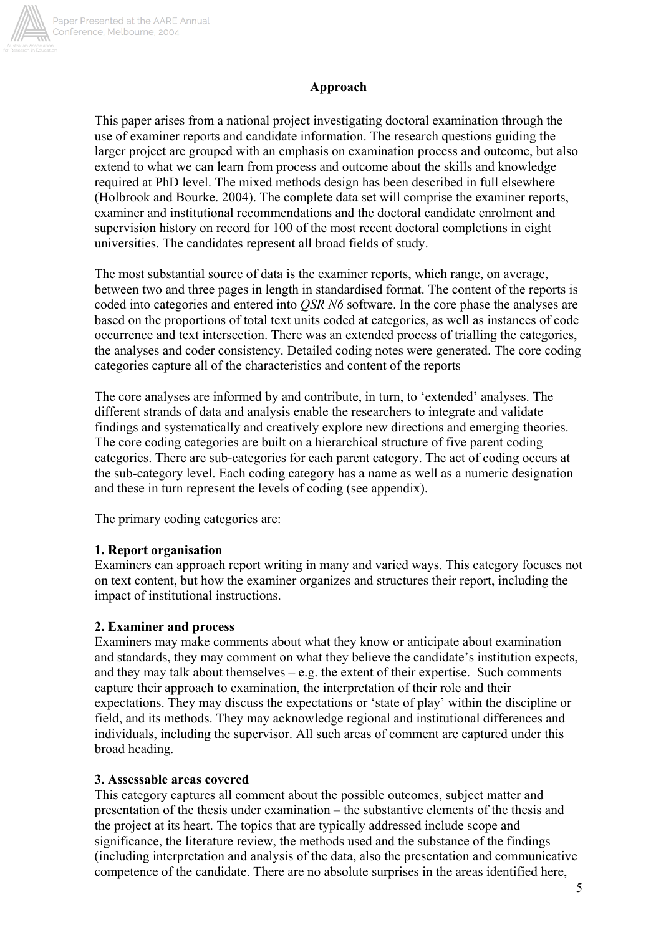

## **Approach**

This paper arises from a national project investigating doctoral examination through the use of examiner reports and candidate information. The research questions guiding the larger project are grouped with an emphasis on examination process and outcome, but also extend to what we can learn from process and outcome about the skills and knowledge required at PhD level. The mixed methods design has been described in full elsewhere (Holbrook and Bourke. 2004). The complete data set will comprise the examiner reports, examiner and institutional recommendations and the doctoral candidate enrolment and supervision history on record for 100 of the most recent doctoral completions in eight universities. The candidates represent all broad fields of study.

The most substantial source of data is the examiner reports, which range, on average, between two and three pages in length in standardised format. The content of the reports is coded into categories and entered into *QSR N6* software. In the core phase the analyses are based on the proportions of total text units coded at categories, as well as instances of code occurrence and text intersection. There was an extended process of trialling the categories, the analyses and coder consistency. Detailed coding notes were generated. The core coding categories capture all of the characteristics and content of the reports

The core analyses are informed by and contribute, in turn, to 'extended' analyses. The different strands of data and analysis enable the researchers to integrate and validate findings and systematically and creatively explore new directions and emerging theories. The core coding categories are built on a hierarchical structure of five parent coding categories. There are sub-categories for each parent category. The act of coding occurs at the sub-category level. Each coding category has a name as well as a numeric designation and these in turn represent the levels of coding (see appendix).

The primary coding categories are:

#### **1. Report organisation**

Examiners can approach report writing in many and varied ways. This category focuses not on text content, but how the examiner organizes and structures their report, including the impact of institutional instructions.

#### **2. Examiner and process**

Examiners may make comments about what they know or anticipate about examination and standards, they may comment on what they believe the candidate's institution expects, and they may talk about themselves  $-e.g.$  the extent of their expertise. Such comments capture their approach to examination, the interpretation of their role and their expectations. They may discuss the expectations or 'state of play' within the discipline or field, and its methods. They may acknowledge regional and institutional differences and individuals, including the supervisor. All such areas of comment are captured under this broad heading.

#### **3. Assessable areas covered**

This category captures all comment about the possible outcomes, subject matter and presentation of the thesis under examination – the substantive elements of the thesis and the project at its heart. The topics that are typically addressed include scope and significance, the literature review, the methods used and the substance of the findings (including interpretation and analysis of the data, also the presentation and communicative competence of the candidate. There are no absolute surprises in the areas identified here,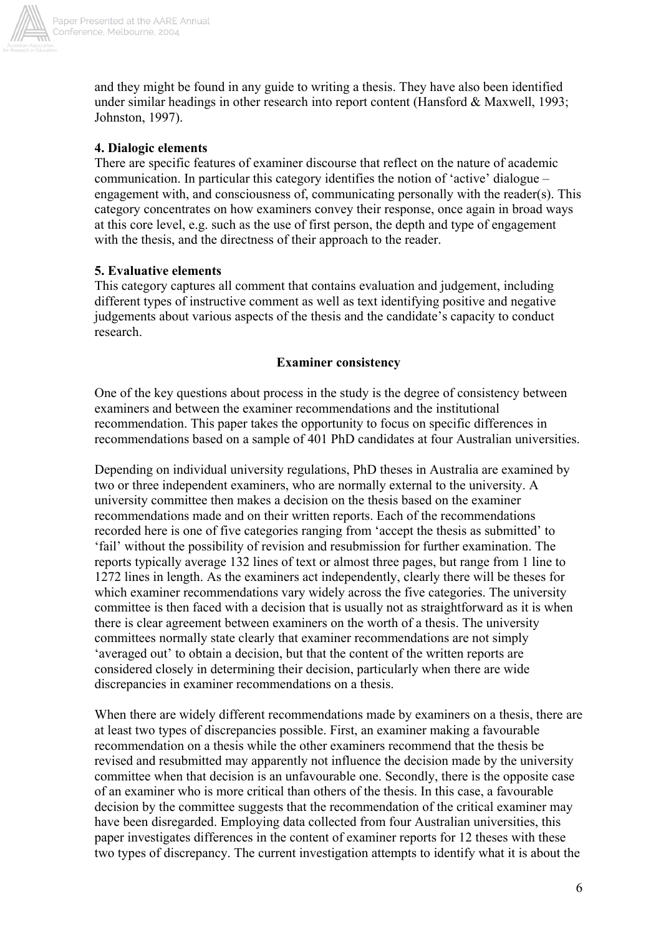

and they might be found in any guide to writing a thesis. They have also been identified under similar headings in other research into report content (Hansford & Maxwell, 1993; Johnston, 1997).

## **4. Dialogic elements**

There are specific features of examiner discourse that reflect on the nature of academic communication. In particular this category identifies the notion of 'active' dialogue – engagement with, and consciousness of, communicating personally with the reader(s). This category concentrates on how examiners convey their response, once again in broad ways at this core level, e.g. such as the use of first person, the depth and type of engagement with the thesis, and the directness of their approach to the reader.

## **5. Evaluative elements**

This category captures all comment that contains evaluation and judgement, including different types of instructive comment as well as text identifying positive and negative judgements about various aspects of the thesis and the candidate's capacity to conduct research.

## **Examiner consistency**

One of the key questions about process in the study is the degree of consistency between examiners and between the examiner recommendations and the institutional recommendation. This paper takes the opportunity to focus on specific differences in recommendations based on a sample of 401 PhD candidates at four Australian universities.

Depending on individual university regulations, PhD theses in Australia are examined by two or three independent examiners, who are normally external to the university. A university committee then makes a decision on the thesis based on the examiner recommendations made and on their written reports. Each of the recommendations recorded here is one of five categories ranging from 'accept the thesis as submitted' to 'fail' without the possibility of revision and resubmission for further examination. The reports typically average 132 lines of text or almost three pages, but range from 1 line to 1272 lines in length. As the examiners act independently, clearly there will be theses for which examiner recommendations vary widely across the five categories. The university committee is then faced with a decision that is usually not as straightforward as it is when there is clear agreement between examiners on the worth of a thesis. The university committees normally state clearly that examiner recommendations are not simply 'averaged out' to obtain a decision, but that the content of the written reports are considered closely in determining their decision, particularly when there are wide discrepancies in examiner recommendations on a thesis.

When there are widely different recommendations made by examiners on a thesis, there are at least two types of discrepancies possible. First, an examiner making a favourable recommendation on a thesis while the other examiners recommend that the thesis be revised and resubmitted may apparently not influence the decision made by the university committee when that decision is an unfavourable one. Secondly, there is the opposite case of an examiner who is more critical than others of the thesis. In this case, a favourable decision by the committee suggests that the recommendation of the critical examiner may have been disregarded. Employing data collected from four Australian universities, this paper investigates differences in the content of examiner reports for 12 theses with these two types of discrepancy. The current investigation attempts to identify what it is about the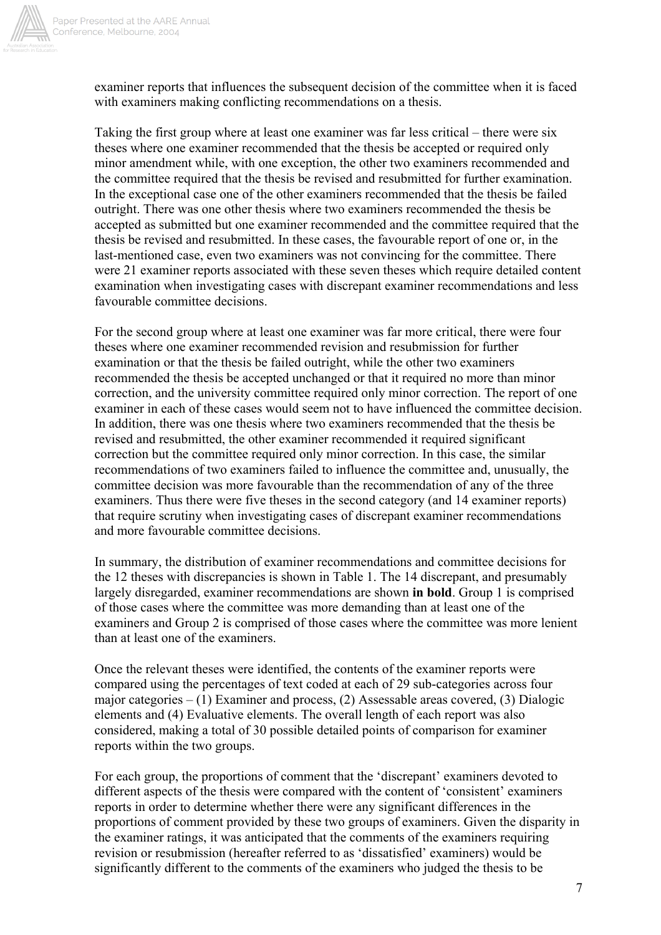

examiner reports that influences the subsequent decision of the committee when it is faced with examiners making conflicting recommendations on a thesis.

Taking the first group where at least one examiner was far less critical – there were six theses where one examiner recommended that the thesis be accepted or required only minor amendment while, with one exception, the other two examiners recommended and the committee required that the thesis be revised and resubmitted for further examination. In the exceptional case one of the other examiners recommended that the thesis be failed outright. There was one other thesis where two examiners recommended the thesis be accepted as submitted but one examiner recommended and the committee required that the thesis be revised and resubmitted. In these cases, the favourable report of one or, in the last-mentioned case, even two examiners was not convincing for the committee. There were 21 examiner reports associated with these seven theses which require detailed content examination when investigating cases with discrepant examiner recommendations and less favourable committee decisions.

For the second group where at least one examiner was far more critical, there were four theses where one examiner recommended revision and resubmission for further examination or that the thesis be failed outright, while the other two examiners recommended the thesis be accepted unchanged or that it required no more than minor correction, and the university committee required only minor correction. The report of one examiner in each of these cases would seem not to have influenced the committee decision. In addition, there was one thesis where two examiners recommended that the thesis be revised and resubmitted, the other examiner recommended it required significant correction but the committee required only minor correction. In this case, the similar recommendations of two examiners failed to influence the committee and, unusually, the committee decision was more favourable than the recommendation of any of the three examiners. Thus there were five theses in the second category (and 14 examiner reports) that require scrutiny when investigating cases of discrepant examiner recommendations and more favourable committee decisions.

In summary, the distribution of examiner recommendations and committee decisions for the 12 theses with discrepancies is shown in Table 1. The 14 discrepant, and presumably largely disregarded, examiner recommendations are shown **in bold**. Group 1 is comprised of those cases where the committee was more demanding than at least one of the examiners and Group 2 is comprised of those cases where the committee was more lenient than at least one of the examiners.

Once the relevant theses were identified, the contents of the examiner reports were compared using the percentages of text coded at each of 29 sub-categories across four major categories – (1) Examiner and process, (2) Assessable areas covered, (3) Dialogic elements and (4) Evaluative elements. The overall length of each report was also considered, making a total of 30 possible detailed points of comparison for examiner reports within the two groups.

For each group, the proportions of comment that the 'discrepant' examiners devoted to different aspects of the thesis were compared with the content of 'consistent' examiners reports in order to determine whether there were any significant differences in the proportions of comment provided by these two groups of examiners. Given the disparity in the examiner ratings, it was anticipated that the comments of the examiners requiring revision or resubmission (hereafter referred to as 'dissatisfied' examiners) would be significantly different to the comments of the examiners who judged the thesis to be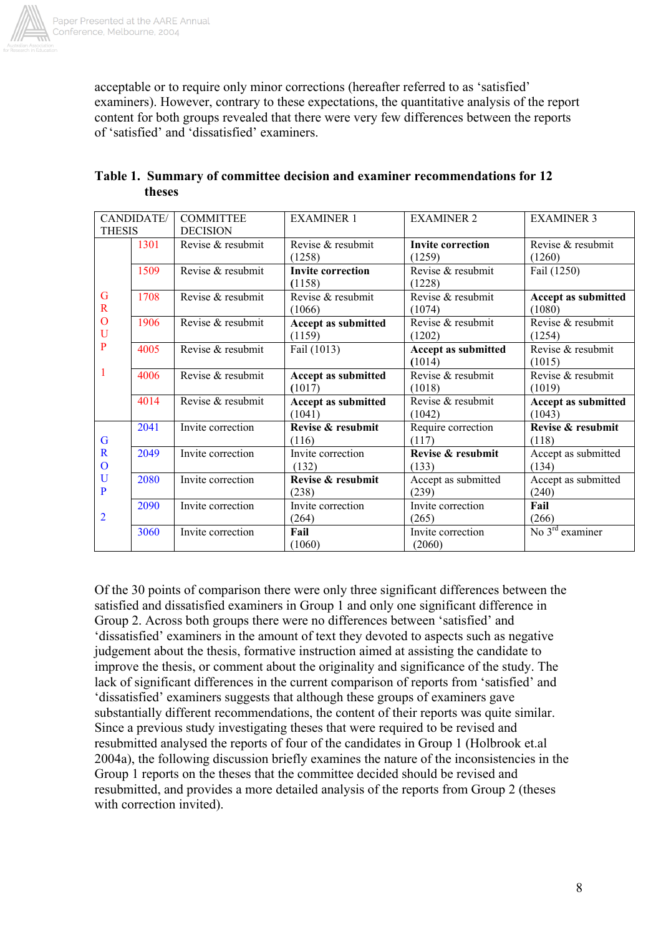

acceptable or to require only minor corrections (hereafter referred to as 'satisfied' examiners). However, contrary to these expectations, the quantitative analysis of the report content for both groups revealed that there were very few differences between the reports of 'satisfied' and 'dissatisfied' examiners.

| CANDIDATE/                                                         |      | <b>COMMITTEE</b>  | <b>EXAMINER 1</b>          | <b>EXAMINER 2</b>        | <b>EXAMINER 3</b>          |
|--------------------------------------------------------------------|------|-------------------|----------------------------|--------------------------|----------------------------|
| <b>THESIS</b>                                                      |      | <b>DECISION</b>   |                            |                          |                            |
|                                                                    | 1301 | Revise & resubmit | Revise & resubmit          | <b>Invite correction</b> | Revise & resubmit          |
| G<br>$\mathbf R$<br>$\mathbf{O}$<br>U<br>P<br>1                    |      |                   | (1258)                     | (1259)                   | (1260)                     |
|                                                                    | 1509 | Revise & resubmit | <b>Invite correction</b>   | Revise & resubmit        | Fail (1250)                |
|                                                                    |      |                   | (1158)                     | (1228)                   |                            |
|                                                                    | 1708 | Revise & resubmit | Revise & resubmit          | Revise & resubmit        | Accept as submitted        |
|                                                                    |      |                   | (1066)                     | (1074)                   | (1080)                     |
|                                                                    | 1906 | Revise & resubmit | <b>Accept as submitted</b> | Revise & resubmit        | Revise & resubmit          |
|                                                                    |      |                   | (1159)                     | (1202)                   | (1254)                     |
|                                                                    | 4005 | Revise & resubmit | Fail (1013)                | Accept as submitted      | Revise & resubmit          |
|                                                                    |      |                   |                            | (1014)                   | (1015)                     |
|                                                                    | 4006 | Revise & resubmit | <b>Accept as submitted</b> | Revise & resubmit        | Revise & resubmit          |
|                                                                    |      |                   | (1017)                     | (1018)                   | (1019)                     |
|                                                                    | 4014 | Revise & resubmit | <b>Accept as submitted</b> | Revise & resubmit        | <b>Accept as submitted</b> |
|                                                                    |      |                   | (1041)                     | (1042)                   | (1043)                     |
| G<br>$\mathbf R$<br>$\Omega$<br>U<br>$\mathbf P$<br>$\overline{2}$ | 2041 | Invite correction | Revise & resubmit          | Require correction       | Revise & resubmit          |
|                                                                    |      |                   | (116)                      | (117)                    | (118)                      |
|                                                                    | 2049 | Invite correction | Invite correction          | Revise & resubmit        | Accept as submitted        |
|                                                                    |      |                   | (132)                      | (133)                    | (134)                      |
|                                                                    | 2080 | Invite correction | Revise & resubmit          | Accept as submitted      | Accept as submitted        |
|                                                                    |      |                   | (238)                      | (239)                    | (240)                      |
|                                                                    | 2090 | Invite correction | Invite correction          | Invite correction        | Fail                       |
|                                                                    |      |                   | (264)                      | (265)                    | (266)                      |
|                                                                    | 3060 | Invite correction | Fail                       | Invite correction        | No $3rd$ examiner          |
|                                                                    |      |                   | (1060)                     | (2060)                   |                            |

| Table 1. Summary of committee decision and examiner recommendations for 12 |  |
|----------------------------------------------------------------------------|--|
| theses                                                                     |  |

Of the 30 points of comparison there were only three significant differences between the satisfied and dissatisfied examiners in Group 1 and only one significant difference in Group 2. Across both groups there were no differences between 'satisfied' and 'dissatisfied' examiners in the amount of text they devoted to aspects such as negative judgement about the thesis, formative instruction aimed at assisting the candidate to improve the thesis, or comment about the originality and significance of the study. The lack of significant differences in the current comparison of reports from 'satisfied' and 'dissatisfied' examiners suggests that although these groups of examiners gave substantially different recommendations, the content of their reports was quite similar. Since a previous study investigating theses that were required to be revised and resubmitted analysed the reports of four of the candidates in Group 1 (Holbrook et.al 2004a), the following discussion briefly examines the nature of the inconsistencies in the Group 1 reports on the theses that the committee decided should be revised and resubmitted, and provides a more detailed analysis of the reports from Group 2 (theses with correction invited).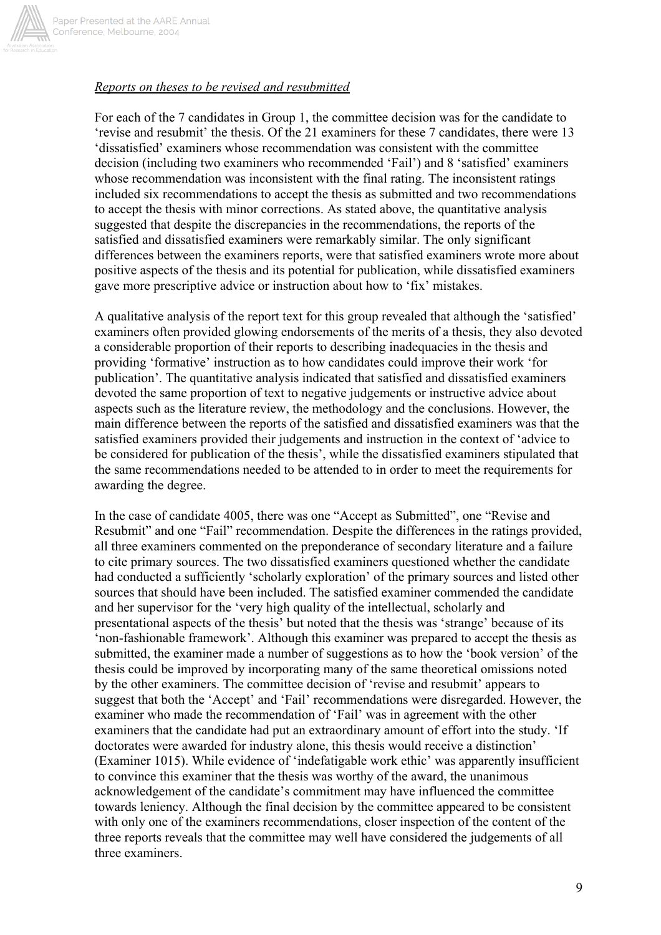

# *Reports on theses to be revised and resubmitted*

For each of the 7 candidates in Group 1, the committee decision was for the candidate to 'revise and resubmit' the thesis. Of the 21 examiners for these 7 candidates, there were 13 'dissatisfied' examiners whose recommendation was consistent with the committee decision (including two examiners who recommended 'Fail') and 8 'satisfied' examiners whose recommendation was inconsistent with the final rating. The inconsistent ratings included six recommendations to accept the thesis as submitted and two recommendations to accept the thesis with minor corrections. As stated above, the quantitative analysis suggested that despite the discrepancies in the recommendations, the reports of the satisfied and dissatisfied examiners were remarkably similar. The only significant differences between the examiners reports, were that satisfied examiners wrote more about positive aspects of the thesis and its potential for publication, while dissatisfied examiners gave more prescriptive advice or instruction about how to 'fix' mistakes.

A qualitative analysis of the report text for this group revealed that although the 'satisfied' examiners often provided glowing endorsements of the merits of a thesis, they also devoted a considerable proportion of their reports to describing inadequacies in the thesis and providing 'formative' instruction as to how candidates could improve their work 'for publication'. The quantitative analysis indicated that satisfied and dissatisfied examiners devoted the same proportion of text to negative judgements or instructive advice about aspects such as the literature review, the methodology and the conclusions. However, the main difference between the reports of the satisfied and dissatisfied examiners was that the satisfied examiners provided their judgements and instruction in the context of 'advice to be considered for publication of the thesis', while the dissatisfied examiners stipulated that the same recommendations needed to be attended to in order to meet the requirements for awarding the degree.

In the case of candidate 4005, there was one "Accept as Submitted", one "Revise and Resubmit" and one "Fail" recommendation. Despite the differences in the ratings provided, all three examiners commented on the preponderance of secondary literature and a failure to cite primary sources. The two dissatisfied examiners questioned whether the candidate had conducted a sufficiently 'scholarly exploration' of the primary sources and listed other sources that should have been included. The satisfied examiner commended the candidate and her supervisor for the 'very high quality of the intellectual, scholarly and presentational aspects of the thesis' but noted that the thesis was 'strange' because of its 'non-fashionable framework'. Although this examiner was prepared to accept the thesis as submitted, the examiner made a number of suggestions as to how the 'book version' of the thesis could be improved by incorporating many of the same theoretical omissions noted by the other examiners. The committee decision of 'revise and resubmit' appears to suggest that both the 'Accept' and 'Fail' recommendations were disregarded. However, the examiner who made the recommendation of 'Fail' was in agreement with the other examiners that the candidate had put an extraordinary amount of effort into the study. 'If doctorates were awarded for industry alone, this thesis would receive a distinction' (Examiner 1015). While evidence of 'indefatigable work ethic' was apparently insufficient to convince this examiner that the thesis was worthy of the award, the unanimous acknowledgement of the candidate's commitment may have influenced the committee towards leniency. Although the final decision by the committee appeared to be consistent with only one of the examiners recommendations, closer inspection of the content of the three reports reveals that the committee may well have considered the judgements of all three examiners.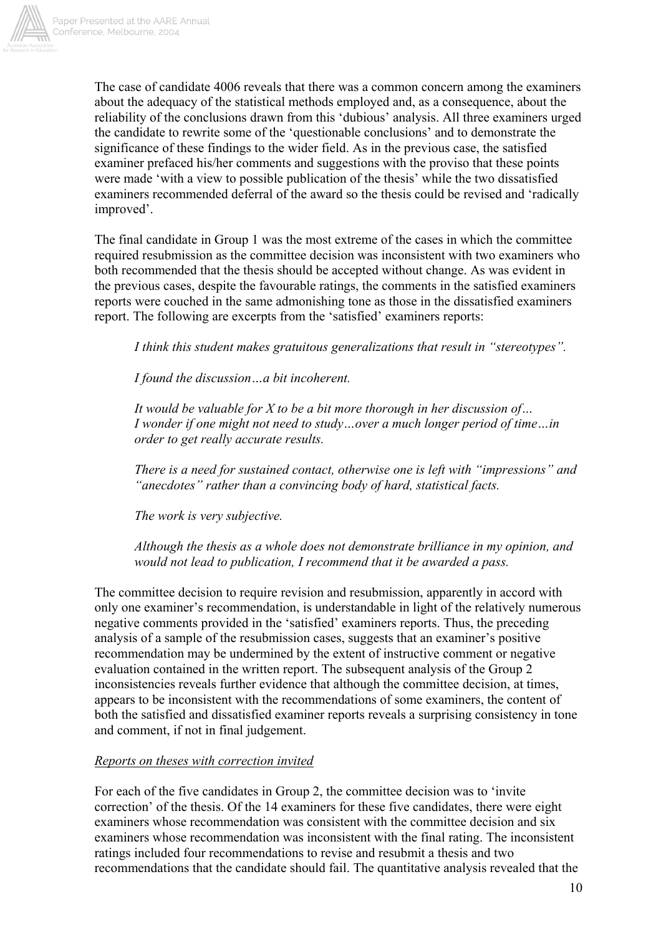

The case of candidate 4006 reveals that there was a common concern among the examiners about the adequacy of the statistical methods employed and, as a consequence, about the reliability of the conclusions drawn from this 'dubious' analysis. All three examiners urged the candidate to rewrite some of the 'questionable conclusions' and to demonstrate the significance of these findings to the wider field. As in the previous case, the satisfied examiner prefaced his/her comments and suggestions with the proviso that these points were made 'with a view to possible publication of the thesis' while the two dissatisfied examiners recommended deferral of the award so the thesis could be revised and 'radically improved'.

The final candidate in Group 1 was the most extreme of the cases in which the committee required resubmission as the committee decision was inconsistent with two examiners who both recommended that the thesis should be accepted without change. As was evident in the previous cases, despite the favourable ratings, the comments in the satisfied examiners reports were couched in the same admonishing tone as those in the dissatisfied examiners report. The following are excerpts from the 'satisfied' examiners reports:

*I think this student makes gratuitous generalizations that result in "stereotypes".* 

*I found the discussion…a bit incoherent.* 

*It would be valuable for X to be a bit more thorough in her discussion of… I wonder if one might not need to study…over a much longer period of time…in order to get really accurate results.* 

*There is a need for sustained contact, otherwise one is left with "impressions" and "anecdotes" rather than a convincing body of hard, statistical facts.* 

*The work is very subjective.* 

*Although the thesis as a whole does not demonstrate brilliance in my opinion, and would not lead to publication, I recommend that it be awarded a pass.* 

The committee decision to require revision and resubmission, apparently in accord with only one examiner's recommendation, is understandable in light of the relatively numerous negative comments provided in the 'satisfied' examiners reports. Thus, the preceding analysis of a sample of the resubmission cases, suggests that an examiner's positive recommendation may be undermined by the extent of instructive comment or negative evaluation contained in the written report. The subsequent analysis of the Group 2 inconsistencies reveals further evidence that although the committee decision, at times, appears to be inconsistent with the recommendations of some examiners, the content of both the satisfied and dissatisfied examiner reports reveals a surprising consistency in tone and comment, if not in final judgement.

#### *Reports on theses with correction invited*

For each of the five candidates in Group 2, the committee decision was to 'invite correction' of the thesis. Of the 14 examiners for these five candidates, there were eight examiners whose recommendation was consistent with the committee decision and six examiners whose recommendation was inconsistent with the final rating. The inconsistent ratings included four recommendations to revise and resubmit a thesis and two recommendations that the candidate should fail. The quantitative analysis revealed that the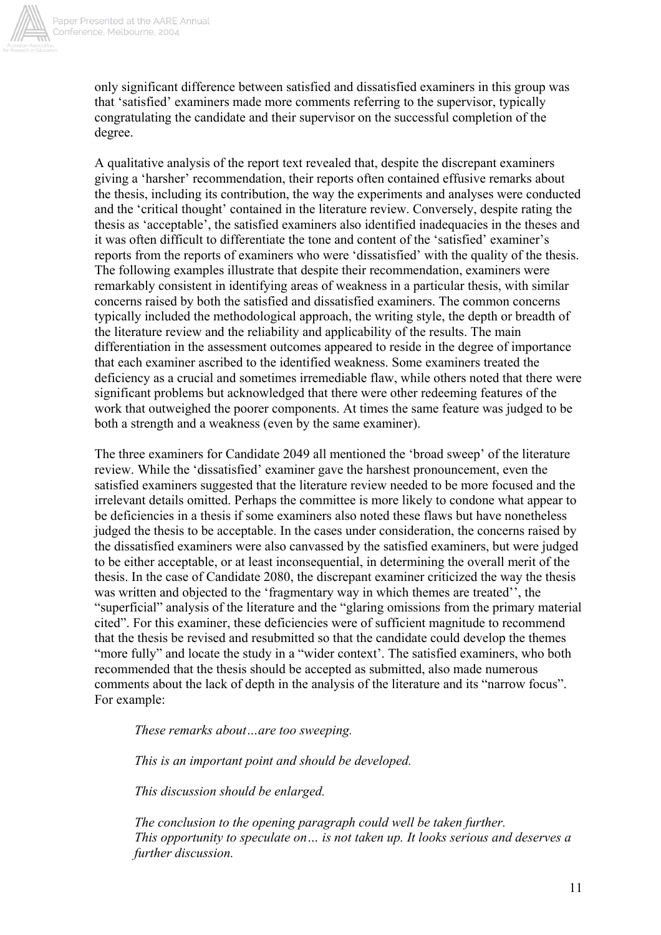

only significant difference between satisfied and dissatisfied examiners in this group was that 'satisfied' examiners made more comments referring to the supervisor, typically congratulating the candidate and their supervisor on the successful completion of the degree.

A qualitative analysis of the report text revealed that, despite the discrepant examiners giving a 'harsher' recommendation, their reports often contained effusive remarks about the thesis, including its contribution, the way the experiments and analyses were conducted and the 'critical thought' contained in the literature review. Conversely, despite rating the thesis as 'acceptable', the satisfied examiners also identified inadequacies in the theses and it was often difficult to differentiate the tone and content of the 'satisfied' examiner's reports from the reports of examiners who were 'dissatisfied' with the quality of the thesis. The following examples illustrate that despite their recommendation, examiners were remarkably consistent in identifying areas of weakness in a particular thesis, with similar concerns raised by both the satisfied and dissatisfied examiners. The common concerns typically included the methodological approach, the writing style, the depth or breadth of the literature review and the reliability and applicability of the results. The main differentiation in the assessment outcomes appeared to reside in the degree of importance that each examiner ascribed to the identified weakness. Some examiners treated the deficiency as a crucial and sometimes irremediable flaw, while others noted that there were significant problems but acknowledged that there were other redeeming features of the work that outweighed the poorer components. At times the same feature was judged to be both a strength and a weakness (even by the same examiner).

The three examiners for Candidate 2049 all mentioned the 'broad sweep' of the literature review. While the 'dissatisfied' examiner gave the harshest pronouncement, even the satisfied examiners suggested that the literature review needed to be more focused and the irrelevant details omitted. Perhaps the committee is more likely to condone what appear to be deficiencies in a thesis if some examiners also noted these flaws but have nonetheless judged the thesis to be acceptable. In the cases under consideration, the concerns raised by the dissatisfied examiners were also canvassed by the satisfied examiners, but were judged to be either acceptable, or at least inconsequential, in determining the overall merit of the thesis. In the case of Candidate 2080, the discrepant examiner criticized the way the thesis was written and objected to the 'fragmentary way in which themes are treated'', the "superficial" analysis of the literature and the "glaring omissions from the primary material cited". For this examiner, these deficiencies were of sufficient magnitude to recommend that the thesis be revised and resubmitted so that the candidate could develop the themes "more fully" and locate the study in a "wider context'. The satisfied examiners, who both recommended that the thesis should be accepted as submitted, also made numerous comments about the lack of depth in the analysis of the literature and its "narrow focus". For example:

*These remarks about…are too sweeping.* 

 *This is an important point and should be developed.* 

 *This discussion should be enlarged.* 

*The conclusion to the opening paragraph could well be taken further. This opportunity to speculate on… is not taken up. It looks serious and deserves a further discussion.*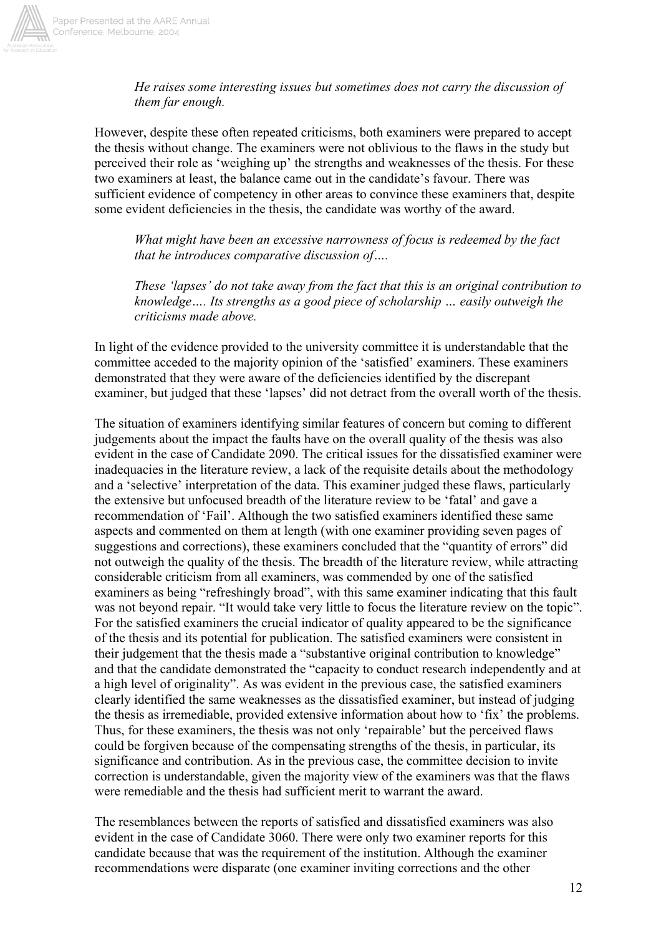*He raises some interesting issues but sometimes does not carry the discussion of them far enough.* 

However, despite these often repeated criticisms, both examiners were prepared to accept the thesis without change. The examiners were not oblivious to the flaws in the study but perceived their role as 'weighing up' the strengths and weaknesses of the thesis. For these two examiners at least, the balance came out in the candidate's favour. There was sufficient evidence of competency in other areas to convince these examiners that, despite some evident deficiencies in the thesis, the candidate was worthy of the award.

*What might have been an excessive narrowness of focus is redeemed by the fact that he introduces comparative discussion of….* 

*These 'lapses' do not take away from the fact that this is an original contribution to knowledge…. Its strengths as a good piece of scholarship … easily outweigh the criticisms made above.* 

In light of the evidence provided to the university committee it is understandable that the committee acceded to the majority opinion of the 'satisfied' examiners. These examiners demonstrated that they were aware of the deficiencies identified by the discrepant examiner, but judged that these 'lapses' did not detract from the overall worth of the thesis.

The situation of examiners identifying similar features of concern but coming to different judgements about the impact the faults have on the overall quality of the thesis was also evident in the case of Candidate 2090. The critical issues for the dissatisfied examiner were inadequacies in the literature review, a lack of the requisite details about the methodology and a 'selective' interpretation of the data. This examiner judged these flaws, particularly the extensive but unfocused breadth of the literature review to be 'fatal' and gave a recommendation of 'Fail'. Although the two satisfied examiners identified these same aspects and commented on them at length (with one examiner providing seven pages of suggestions and corrections), these examiners concluded that the "quantity of errors" did not outweigh the quality of the thesis. The breadth of the literature review, while attracting considerable criticism from all examiners, was commended by one of the satisfied examiners as being "refreshingly broad", with this same examiner indicating that this fault was not beyond repair. "It would take very little to focus the literature review on the topic". For the satisfied examiners the crucial indicator of quality appeared to be the significance of the thesis and its potential for publication. The satisfied examiners were consistent in their judgement that the thesis made a "substantive original contribution to knowledge" and that the candidate demonstrated the "capacity to conduct research independently and at a high level of originality". As was evident in the previous case, the satisfied examiners clearly identified the same weaknesses as the dissatisfied examiner, but instead of judging the thesis as irremediable, provided extensive information about how to 'fix' the problems. Thus, for these examiners, the thesis was not only 'repairable' but the perceived flaws could be forgiven because of the compensating strengths of the thesis, in particular, its significance and contribution. As in the previous case, the committee decision to invite correction is understandable, given the majority view of the examiners was that the flaws were remediable and the thesis had sufficient merit to warrant the award.

The resemblances between the reports of satisfied and dissatisfied examiners was also evident in the case of Candidate 3060. There were only two examiner reports for this candidate because that was the requirement of the institution. Although the examiner recommendations were disparate (one examiner inviting corrections and the other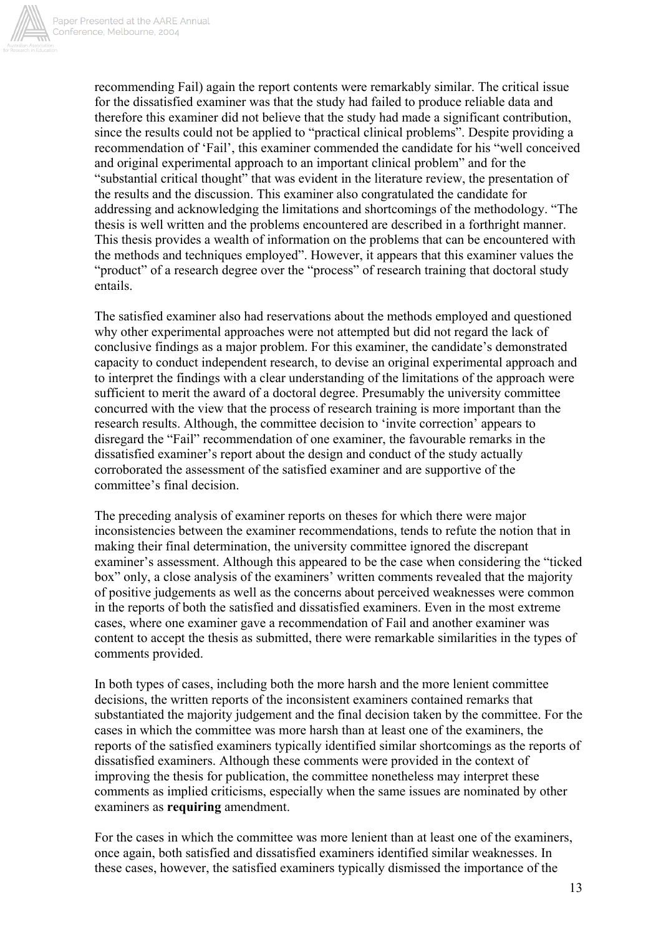

recommending Fail) again the report contents were remarkably similar. The critical issue for the dissatisfied examiner was that the study had failed to produce reliable data and therefore this examiner did not believe that the study had made a significant contribution, since the results could not be applied to "practical clinical problems". Despite providing a recommendation of 'Fail', this examiner commended the candidate for his "well conceived and original experimental approach to an important clinical problem" and for the "substantial critical thought" that was evident in the literature review, the presentation of the results and the discussion. This examiner also congratulated the candidate for addressing and acknowledging the limitations and shortcomings of the methodology. "The thesis is well written and the problems encountered are described in a forthright manner. This thesis provides a wealth of information on the problems that can be encountered with the methods and techniques employed". However, it appears that this examiner values the "product" of a research degree over the "process" of research training that doctoral study entails.

The satisfied examiner also had reservations about the methods employed and questioned why other experimental approaches were not attempted but did not regard the lack of conclusive findings as a major problem. For this examiner, the candidate's demonstrated capacity to conduct independent research, to devise an original experimental approach and to interpret the findings with a clear understanding of the limitations of the approach were sufficient to merit the award of a doctoral degree. Presumably the university committee concurred with the view that the process of research training is more important than the research results. Although, the committee decision to 'invite correction' appears to disregard the "Fail" recommendation of one examiner, the favourable remarks in the dissatisfied examiner's report about the design and conduct of the study actually corroborated the assessment of the satisfied examiner and are supportive of the committee's final decision.

The preceding analysis of examiner reports on theses for which there were major inconsistencies between the examiner recommendations, tends to refute the notion that in making their final determination, the university committee ignored the discrepant examiner's assessment. Although this appeared to be the case when considering the "ticked box" only, a close analysis of the examiners' written comments revealed that the majority of positive judgements as well as the concerns about perceived weaknesses were common in the reports of both the satisfied and dissatisfied examiners. Even in the most extreme cases, where one examiner gave a recommendation of Fail and another examiner was content to accept the thesis as submitted, there were remarkable similarities in the types of comments provided.

In both types of cases, including both the more harsh and the more lenient committee decisions, the written reports of the inconsistent examiners contained remarks that substantiated the majority judgement and the final decision taken by the committee. For the cases in which the committee was more harsh than at least one of the examiners, the reports of the satisfied examiners typically identified similar shortcomings as the reports of dissatisfied examiners. Although these comments were provided in the context of improving the thesis for publication, the committee nonetheless may interpret these comments as implied criticisms, especially when the same issues are nominated by other examiners as **requiring** amendment.

For the cases in which the committee was more lenient than at least one of the examiners, once again, both satisfied and dissatisfied examiners identified similar weaknesses. In these cases, however, the satisfied examiners typically dismissed the importance of the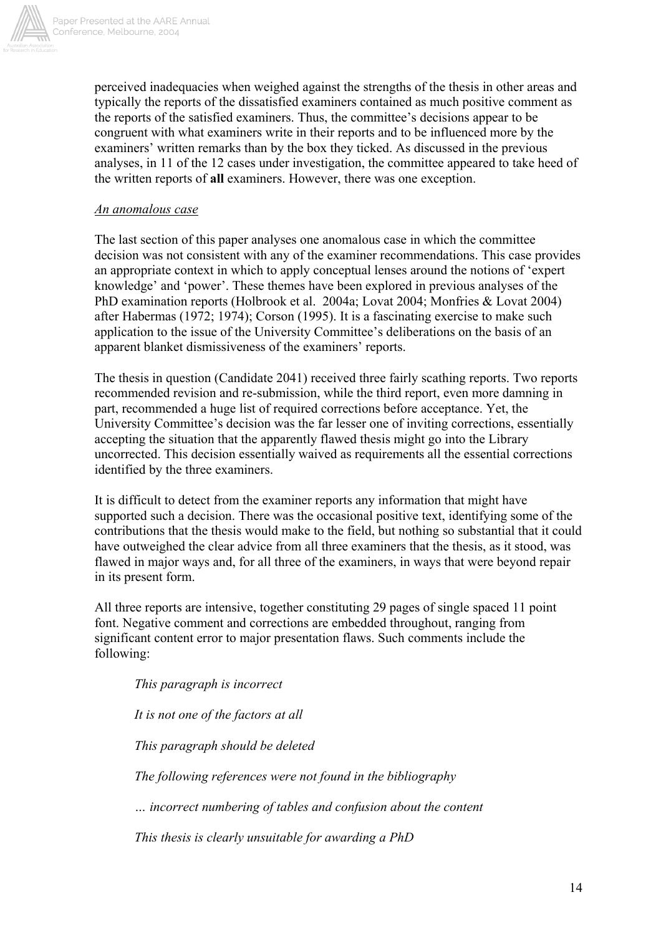

perceived inadequacies when weighed against the strengths of the thesis in other areas and typically the reports of the dissatisfied examiners contained as much positive comment as the reports of the satisfied examiners. Thus, the committee's decisions appear to be congruent with what examiners write in their reports and to be influenced more by the examiners' written remarks than by the box they ticked. As discussed in the previous analyses, in 11 of the 12 cases under investigation, the committee appeared to take heed of the written reports of **all** examiners. However, there was one exception.

## *An anomalous case*

The last section of this paper analyses one anomalous case in which the committee decision was not consistent with any of the examiner recommendations. This case provides an appropriate context in which to apply conceptual lenses around the notions of 'expert knowledge' and 'power'. These themes have been explored in previous analyses of the PhD examination reports (Holbrook et al. 2004a; Lovat 2004; Monfries & Lovat 2004) after Habermas (1972; 1974); Corson (1995). It is a fascinating exercise to make such application to the issue of the University Committee's deliberations on the basis of an apparent blanket dismissiveness of the examiners' reports.

The thesis in question (Candidate 2041) received three fairly scathing reports. Two reports recommended revision and re-submission, while the third report, even more damning in part, recommended a huge list of required corrections before acceptance. Yet, the University Committee's decision was the far lesser one of inviting corrections, essentially accepting the situation that the apparently flawed thesis might go into the Library uncorrected. This decision essentially waived as requirements all the essential corrections identified by the three examiners.

It is difficult to detect from the examiner reports any information that might have supported such a decision. There was the occasional positive text, identifying some of the contributions that the thesis would make to the field, but nothing so substantial that it could have outweighed the clear advice from all three examiners that the thesis, as it stood, was flawed in major ways and, for all three of the examiners, in ways that were beyond repair in its present form.

All three reports are intensive, together constituting 29 pages of single spaced 11 point font. Negative comment and corrections are embedded throughout, ranging from significant content error to major presentation flaws. Such comments include the following:

*This paragraph is incorrect* 

*It is not one of the factors at all* 

*This paragraph should be deleted* 

*The following references were not found in the bibliography* 

*… incorrect numbering of tables and confusion about the content* 

*This thesis is clearly unsuitable for awarding a PhD*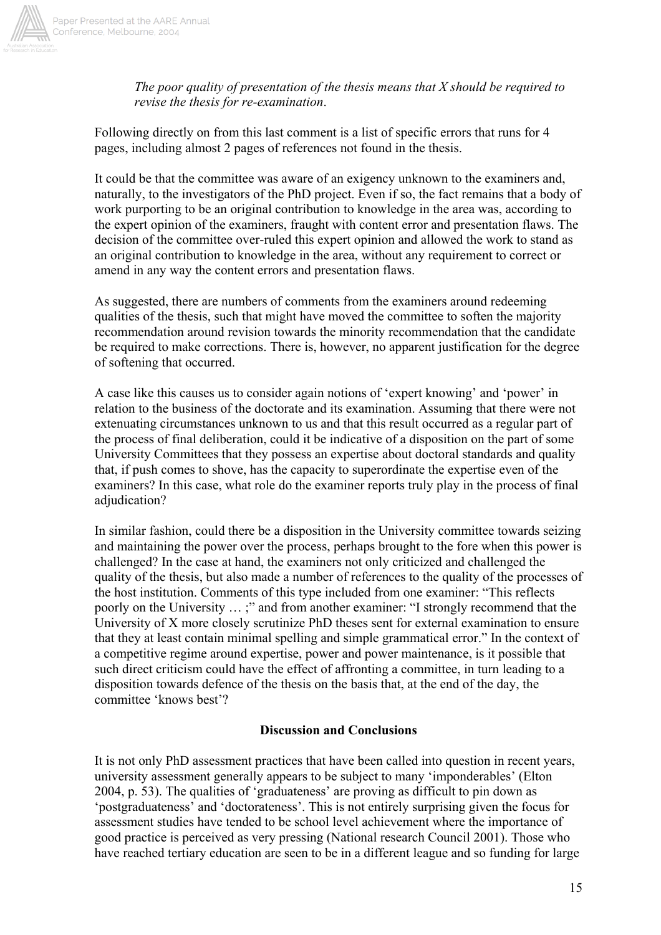

*The poor quality of presentation of the thesis means that X should be required to revise the thesis for re-examination*.

Following directly on from this last comment is a list of specific errors that runs for 4 pages, including almost 2 pages of references not found in the thesis.

It could be that the committee was aware of an exigency unknown to the examiners and, naturally, to the investigators of the PhD project. Even if so, the fact remains that a body of work purporting to be an original contribution to knowledge in the area was, according to the expert opinion of the examiners, fraught with content error and presentation flaws. The decision of the committee over-ruled this expert opinion and allowed the work to stand as an original contribution to knowledge in the area, without any requirement to correct or amend in any way the content errors and presentation flaws.

As suggested, there are numbers of comments from the examiners around redeeming qualities of the thesis, such that might have moved the committee to soften the majority recommendation around revision towards the minority recommendation that the candidate be required to make corrections. There is, however, no apparent justification for the degree of softening that occurred.

A case like this causes us to consider again notions of 'expert knowing' and 'power' in relation to the business of the doctorate and its examination. Assuming that there were not extenuating circumstances unknown to us and that this result occurred as a regular part of the process of final deliberation, could it be indicative of a disposition on the part of some University Committees that they possess an expertise about doctoral standards and quality that, if push comes to shove, has the capacity to superordinate the expertise even of the examiners? In this case, what role do the examiner reports truly play in the process of final adjudication?

In similar fashion, could there be a disposition in the University committee towards seizing and maintaining the power over the process, perhaps brought to the fore when this power is challenged? In the case at hand, the examiners not only criticized and challenged the quality of the thesis, but also made a number of references to the quality of the processes of the host institution. Comments of this type included from one examiner: "This reflects poorly on the University … ;" and from another examiner: "I strongly recommend that the University of X more closely scrutinize PhD theses sent for external examination to ensure that they at least contain minimal spelling and simple grammatical error." In the context of a competitive regime around expertise, power and power maintenance, is it possible that such direct criticism could have the effect of affronting a committee, in turn leading to a disposition towards defence of the thesis on the basis that, at the end of the day, the committee 'knows best'?

#### **Discussion and Conclusions**

It is not only PhD assessment practices that have been called into question in recent years, university assessment generally appears to be subject to many 'imponderables' (Elton 2004, p. 53). The qualities of 'graduateness' are proving as difficult to pin down as 'postgraduateness' and 'doctorateness'. This is not entirely surprising given the focus for assessment studies have tended to be school level achievement where the importance of good practice is perceived as very pressing (National research Council 2001). Those who have reached tertiary education are seen to be in a different league and so funding for large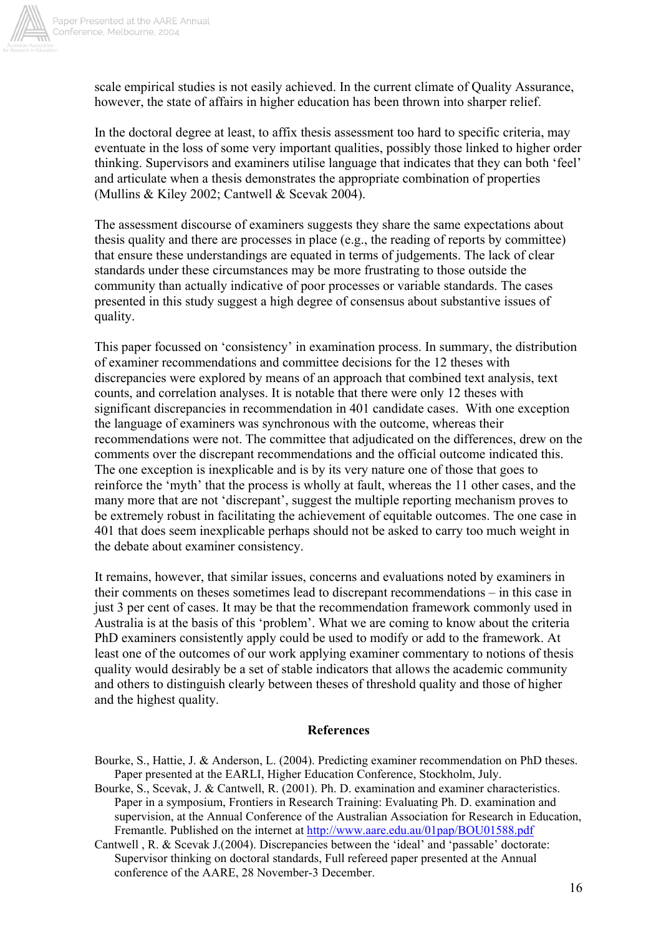

scale empirical studies is not easily achieved. In the current climate of Quality Assurance, however, the state of affairs in higher education has been thrown into sharper relief.

In the doctoral degree at least, to affix thesis assessment too hard to specific criteria, may eventuate in the loss of some very important qualities, possibly those linked to higher order thinking. Supervisors and examiners utilise language that indicates that they can both 'feel' and articulate when a thesis demonstrates the appropriate combination of properties (Mullins & Kiley 2002; Cantwell & Scevak 2004).

The assessment discourse of examiners suggests they share the same expectations about thesis quality and there are processes in place (e.g., the reading of reports by committee) that ensure these understandings are equated in terms of judgements. The lack of clear standards under these circumstances may be more frustrating to those outside the community than actually indicative of poor processes or variable standards. The cases presented in this study suggest a high degree of consensus about substantive issues of quality.

This paper focussed on 'consistency' in examination process. In summary, the distribution of examiner recommendations and committee decisions for the 12 theses with discrepancies were explored by means of an approach that combined text analysis, text counts, and correlation analyses. It is notable that there were only 12 theses with significant discrepancies in recommendation in 401 candidate cases. With one exception the language of examiners was synchronous with the outcome, whereas their recommendations were not. The committee that adjudicated on the differences, drew on the comments over the discrepant recommendations and the official outcome indicated this. The one exception is inexplicable and is by its very nature one of those that goes to reinforce the 'myth' that the process is wholly at fault, whereas the 11 other cases, and the many more that are not 'discrepant', suggest the multiple reporting mechanism proves to be extremely robust in facilitating the achievement of equitable outcomes. The one case in 401 that does seem inexplicable perhaps should not be asked to carry too much weight in the debate about examiner consistency.

It remains, however, that similar issues, concerns and evaluations noted by examiners in their comments on theses sometimes lead to discrepant recommendations – in this case in just 3 per cent of cases. It may be that the recommendation framework commonly used in Australia is at the basis of this 'problem'. What we are coming to know about the criteria PhD examiners consistently apply could be used to modify or add to the framework. At least one of the outcomes of our work applying examiner commentary to notions of thesis quality would desirably be a set of stable indicators that allows the academic community and others to distinguish clearly between theses of threshold quality and those of higher and the highest quality.

#### **References**

- Bourke, S., Hattie, J. & Anderson, L. (2004). Predicting examiner recommendation on PhD theses. Paper presented at the EARLI, Higher Education Conference, Stockholm, July.
- Bourke, S., Scevak, J. & Cantwell, R. (2001). Ph. D. examination and examiner characteristics. Paper in a symposium, Frontiers in Research Training: Evaluating Ph. D. examination and supervision, at the Annual Conference of the Australian Association for Research in Education, Fremantle. Published on the internet at http://www.aare.edu.au/01pap/BOU01588.pdf
- Cantwell , R. & Scevak J.(2004). Discrepancies between the 'ideal' and 'passable' doctorate: Supervisor thinking on doctoral standards, Full refereed paper presented at the Annual conference of the AARE, 28 November-3 December.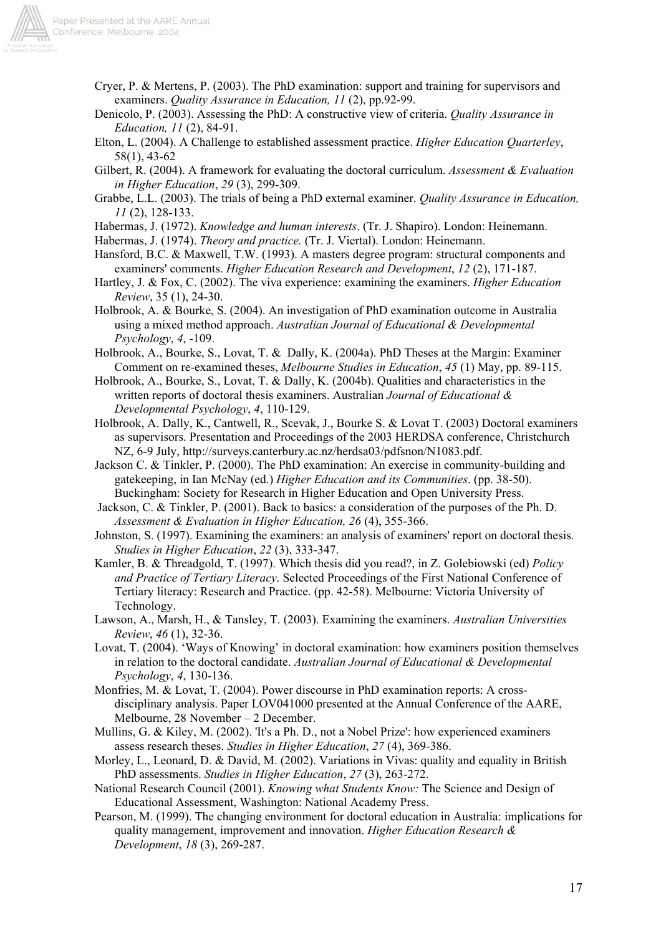

- Cryer, P. & Mertens, P. (2003). The PhD examination: support and training for supervisors and examiners. *Quality Assurance in Education, 11* (2), pp.92-99.
- Denicolo, P. (2003). Assessing the PhD: A constructive view of criteria. *Quality Assurance in Education, 11* (2), 84-91.
- Elton, L. (2004). A Challenge to established assessment practice. *Higher Education Quarterley*, 58(1), 43-62
- Gilbert, R. (2004). A framework for evaluating the doctoral curriculum. *Assessment & Evaluation in Higher Education*, *29* (3), 299-309.
- Grabbe, L.L. (2003). The trials of being a PhD external examiner. *Quality Assurance in Education, 11* (2), 128-133.
- Habermas, J. (1972). *Knowledge and human interests*. (Tr. J. Shapiro). London: Heinemann.
- Habermas, J. (1974). *Theory and practice.* (Tr. J. Viertal). London: Heinemann.
- Hansford, B.C. & Maxwell, T.W. (1993). A masters degree program: structural components and examiners' comments. *Higher Education Research and Development*, *12* (2), 171-187.
- Hartley, J. & Fox, C. (2002). The viva experience: examining the examiners. *Higher Education Review*, 35 (1), 24-30.
- Holbrook, A. & Bourke, S. (2004). An investigation of PhD examination outcome in Australia using a mixed method approach. *Australian Journal of Educational & Developmental Psychology*, *4*, -109.
- Holbrook, A., Bourke, S., Lovat, T. & Dally, K. (2004a). PhD Theses at the Margin: Examiner Comment on re-examined theses, *Melbourne Studies in Education*, *45* (1) May, pp. 89-115.
- Holbrook, A., Bourke, S., Lovat, T. & Dally, K. (2004b). Qualities and characteristics in the written reports of doctoral thesis examiners. Australian *Journal of Educational & Developmental Psychology*, *4*, 110-129.
- Holbrook, A. Dally, K., Cantwell, R., Scevak, J., Bourke S. & Lovat T. (2003) Doctoral examiners as supervisors. Presentation and Proceedings of the 2003 HERDSA conference, Christchurch NZ, 6-9 July, http://surveys.canterbury.ac.nz/herdsa03/pdfsnon/N1083.pdf.
- Jackson C. & Tinkler, P. (2000). The PhD examination: An exercise in community-building and gatekeeping, in Ian McNay (ed.) *Higher Education and its Communities*. (pp. 38-50). Buckingham: Society for Research in Higher Education and Open University Press.
- Jackson, C. & Tinkler, P. (2001). Back to basics: a consideration of the purposes of the Ph. D. *Assessment & Evaluation in Higher Education, 26* (4), 355-366.
- Johnston, S. (1997). Examining the examiners: an analysis of examiners' report on doctoral thesis. *Studies in Higher Education*, *22* (3), 333-347.
- Kamler, B. & Threadgold, T. (1997). Which thesis did you read?, in Z. Golebiowski (ed) *Policy and Practice of Tertiary Literacy*. Selected Proceedings of the First National Conference of Tertiary literacy: Research and Practice. (pp. 42-58). Melbourne: Victoria University of Technology.
- Lawson, A., Marsh, H., & Tansley, T. (2003). Examining the examiners. *Australian Universities Review*, *46* (1), 32-36.
- Lovat, T. (2004). 'Ways of Knowing' in doctoral examination: how examiners position themselves in relation to the doctoral candidate. *Australian Journal of Educational & Developmental Psychology*, *4*, 130-136.
- Monfries, M. & Lovat, T. (2004). Power discourse in PhD examination reports: A crossdisciplinary analysis. Paper LOV041000 presented at the Annual Conference of the AARE, Melbourne, 28 November – 2 December.
- Mullins, G. & Kiley, M. (2002). 'It's a Ph. D., not a Nobel Prize': how experienced examiners assess research theses. *Studies in Higher Education*, *27* (4), 369-386.
- Morley, L., Leonard, D. & David, M. (2002). Variations in Vivas: quality and equality in British PhD assessments. *Studies in Higher Education*, *27* (3), 263-272.
- National Research Council (2001). *Knowing what Students Know:* The Science and Design of Educational Assessment, Washington: National Academy Press.
- Pearson, M. (1999). The changing environment for doctoral education in Australia: implications for quality management, improvement and innovation. *Higher Education Research & Development*, *18* (3), 269-287.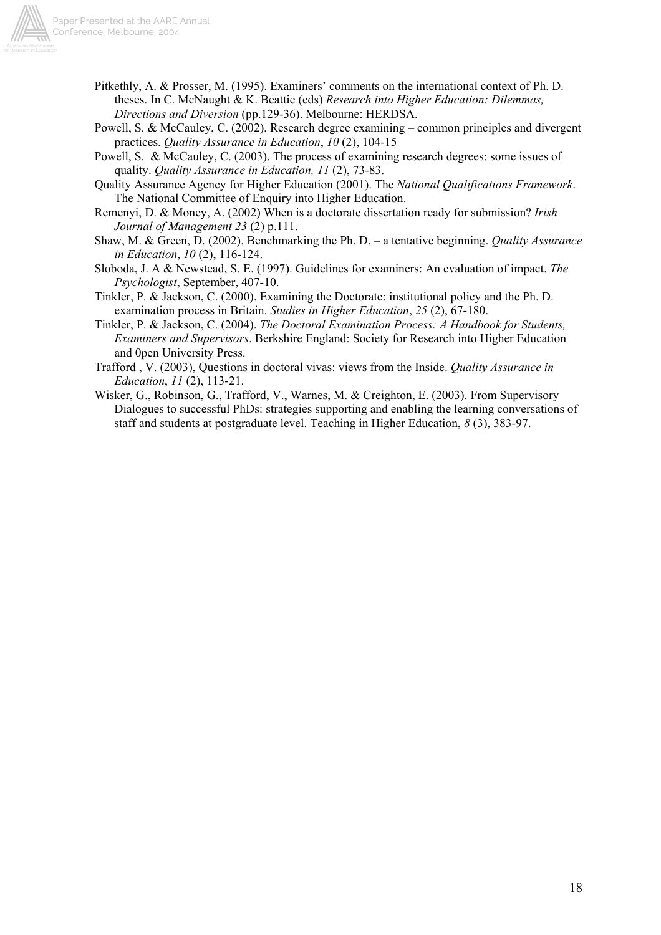

- Pitkethly, A. & Prosser, M. (1995). Examiners' comments on the international context of Ph. D. theses. In C. McNaught & K. Beattie (eds) *Research into Higher Education: Dilemmas, Directions and Diversion* (pp.129-36). Melbourne: HERDSA.
- Powell, S. & McCauley, C. (2002). Research degree examining common principles and divergent practices. *Quality Assurance in Education*, *10* (2), 104-15
- Powell, S. & McCauley, C. (2003). The process of examining research degrees: some issues of quality. *Quality Assurance in Education, 11* (2), 73-83.
- Quality Assurance Agency for Higher Education (2001). The *National Qualifications Framework*. The National Committee of Enquiry into Higher Education.
- Remenyi, D. & Money, A. (2002) When is a doctorate dissertation ready for submission? *Irish Journal of Management 23* (2) p.111.
- Shaw, M. & Green, D. (2002). Benchmarking the Ph. D. a tentative beginning. *Quality Assurance in Education*, *10* (2), 116-124.
- Sloboda, J. A & Newstead, S. E. (1997). Guidelines for examiners: An evaluation of impact. *The Psychologist*, September, 407-10.
- Tinkler, P. & Jackson, C. (2000). Examining the Doctorate: institutional policy and the Ph. D. examination process in Britain. *Studies in Higher Education*, *25* (2), 67-180.
- Tinkler, P. & Jackson, C. (2004). *The Doctoral Examination Process: A Handbook for Students, Examiners and Supervisors*. Berkshire England: Society for Research into Higher Education and 0pen University Press.
- Trafford , V. (2003), Questions in doctoral vivas: views from the Inside. *Quality Assurance in Education*, *11* (2), 113-21.
- Wisker, G., Robinson, G., Trafford, V., Warnes, M. & Creighton, E. (2003). From Supervisory Dialogues to successful PhDs: strategies supporting and enabling the learning conversations of staff and students at postgraduate level. Teaching in Higher Education, *8* (3), 383-97.